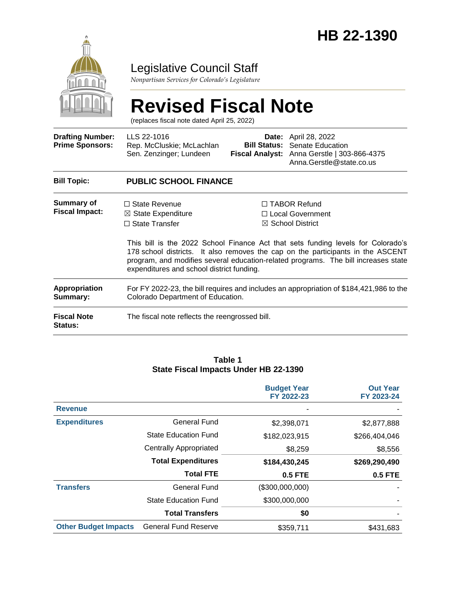

### Legislative Council Staff

*Nonpartisan Services for Colorado's Legislature*

# **Revised Fiscal Note**

(replaces fiscal note dated April 25, 2022)

| <b>Drafting Number:</b><br><b>Prime Sponsors:</b> | LLS 22-1016<br>Rep. McCluskie; McLachlan<br>Sen. Zenzinger; Lundeen                                                          | <b>Bill Status:</b>                                                                                                                                                                                                                                                                                                                                                                | <b>Date:</b> April 28, 2022<br>Senate Education<br>Fiscal Analyst: Anna Gerstle   303-866-4375<br>Anna.Gerstle@state.co.us |  |  |  |
|---------------------------------------------------|------------------------------------------------------------------------------------------------------------------------------|------------------------------------------------------------------------------------------------------------------------------------------------------------------------------------------------------------------------------------------------------------------------------------------------------------------------------------------------------------------------------------|----------------------------------------------------------------------------------------------------------------------------|--|--|--|
| <b>Bill Topic:</b>                                | <b>PUBLIC SCHOOL FINANCE</b>                                                                                                 |                                                                                                                                                                                                                                                                                                                                                                                    |                                                                                                                            |  |  |  |
| Summary of<br><b>Fiscal Impact:</b>               | $\Box$ State Revenue<br>$\boxtimes$ State Expenditure<br>$\Box$ State Transfer                                               | $\Box$ TABOR Refund<br>□ Local Government<br>$\boxtimes$ School District<br>This bill is the 2022 School Finance Act that sets funding levels for Colorado's<br>178 school districts. It also removes the cap on the participants in the ASCENT<br>program, and modifies several education-related programs. The bill increases state<br>expenditures and school district funding. |                                                                                                                            |  |  |  |
| <b>Appropriation</b><br>Summary:                  | For FY 2022-23, the bill requires and includes an appropriation of \$184,421,986 to the<br>Colorado Department of Education. |                                                                                                                                                                                                                                                                                                                                                                                    |                                                                                                                            |  |  |  |
| <b>Fiscal Note</b><br>Status:                     | The fiscal note reflects the reengrossed bill.                                                                               |                                                                                                                                                                                                                                                                                                                                                                                    |                                                                                                                            |  |  |  |

#### **Table 1 State Fiscal Impacts Under HB 22-1390**

|                             |                               | <b>Budget Year</b><br>FY 2022-23 | <b>Out Year</b><br>FY 2023-24 |
|-----------------------------|-------------------------------|----------------------------------|-------------------------------|
| <b>Revenue</b>              |                               |                                  |                               |
| <b>Expenditures</b>         | <b>General Fund</b>           | \$2,398,071                      | \$2,877,888                   |
|                             | <b>State Education Fund</b>   | \$182,023,915                    | \$266,404,046                 |
|                             | <b>Centrally Appropriated</b> | \$8,259                          | \$8,556                       |
|                             | <b>Total Expenditures</b>     | \$184,430,245                    | \$269,290,490                 |
|                             | <b>Total FTE</b>              | <b>0.5 FTE</b>                   | <b>0.5 FTE</b>                |
| <b>Transfers</b>            | <b>General Fund</b>           | (\$300,000,000)                  |                               |
|                             | <b>State Education Fund</b>   | \$300,000,000                    |                               |
|                             | <b>Total Transfers</b>        | \$0                              |                               |
| <b>Other Budget Impacts</b> | <b>General Fund Reserve</b>   | \$359,711                        | \$431,683                     |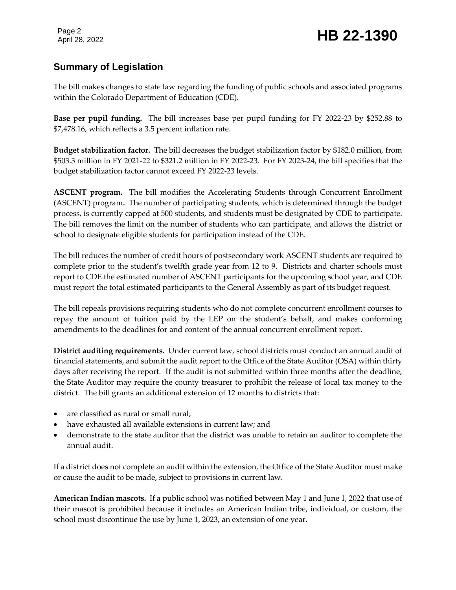Page 2

#### **Summary of Legislation**

The bill makes changes to state law regarding the funding of public schools and associated programs within the Colorado Department of Education (CDE).

**Base per pupil funding.** The bill increases base per pupil funding for FY 2022-23 by \$252.88 to \$7,478.16, which reflects a 3.5 percent inflation rate.

**Budget stabilization factor.** The bill decreases the budget stabilization factor by \$182.0 million, from \$503.3 million in FY 2021-22 to \$321.2 million in FY 2022-23. For FY 2023-24, the bill specifies that the budget stabilization factor cannot exceed FY 2022-23 levels.

**ASCENT program.** The bill modifies the Accelerating Students through Concurrent Enrollment (ASCENT) program**.** The number of participating students, which is determined through the budget process, is currently capped at 500 students, and students must be designated by CDE to participate. The bill removes the limit on the number of students who can participate, and allows the district or school to designate eligible students for participation instead of the CDE.

The bill reduces the number of credit hours of postsecondary work ASCENT students are required to complete prior to the student's twelfth grade year from 12 to 9. Districts and charter schools must report to CDE the estimated number of ASCENT participants for the upcoming school year, and CDE must report the total estimated participants to the General Assembly as part of its budget request.

The bill repeals provisions requiring students who do not complete concurrent enrollment courses to repay the amount of tuition paid by the LEP on the student's behalf, and makes conforming amendments to the deadlines for and content of the annual concurrent enrollment report.

**District auditing requirements.** Under current law, school districts must conduct an annual audit of financial statements, and submit the audit report to the Office of the State Auditor (OSA) within thirty days after receiving the report. If the audit is not submitted within three months after the deadline, the State Auditor may require the county treasurer to prohibit the release of local tax money to the district. The bill grants an additional extension of 12 months to districts that:

- are classified as rural or small rural;
- have exhausted all available extensions in current law; and
- demonstrate to the state auditor that the district was unable to retain an auditor to complete the annual audit.

If a district does not complete an audit within the extension, the Office of the State Auditor must make or cause the audit to be made, subject to provisions in current law.

**American Indian mascots.** If a public school was notified between May 1 and June 1, 2022 that use of their mascot is prohibited because it includes an American Indian tribe, individual, or custom, the school must discontinue the use by June 1, 2023, an extension of one year.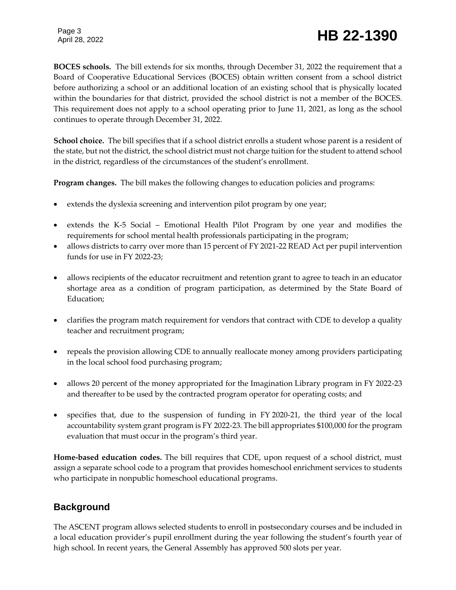## Page 3

## Page 3<br>April 28, 2022 **HB 22-1390**

**BOCES schools.** The bill extends for six months, through December 31, 2022 the requirement that a Board of Cooperative Educational Services (BOCES) obtain written consent from a school district before authorizing a school or an additional location of an existing school that is physically located within the boundaries for that district, provided the school district is not a member of the BOCES. This requirement does not apply to a school operating prior to June 11, 2021, as long as the school continues to operate through December 31, 2022.

**School choice.** The bill specifies that if a school district enrolls a student whose parent is a resident of the state, but not the district, the school district must not charge tuition for the student to attend school in the district, regardless of the circumstances of the student's enrollment.

**Program changes.** The bill makes the following changes to education policies and programs:

- extends the dyslexia screening and intervention pilot program by one year;
- extends the K-5 Social Emotional Health Pilot Program by one year and modifies the requirements for school mental health professionals participating in the program;
- allows districts to carry over more than 15 percent of FY 2021-22 READ Act per pupil intervention funds for use in FY 2022-23;
- allows recipients of the educator recruitment and retention grant to agree to teach in an educator shortage area as a condition of program participation, as determined by the State Board of Education;
- clarifies the program match requirement for vendors that contract with CDE to develop a quality teacher and recruitment program;
- repeals the provision allowing CDE to annually reallocate money among providers participating in the local school food purchasing program;
- allows 20 percent of the money appropriated for the Imagination Library program in FY 2022-23 and thereafter to be used by the contracted program operator for operating costs; and
- specifies that, due to the suspension of funding in FY 2020-21, the third year of the local accountability system grant program is FY 2022-23. The bill appropriates \$100,000 for the program evaluation that must occur in the program's third year.

**Home-based education codes.** The bill requires that CDE, upon request of a school district, must assign a separate school code to a program that provides homeschool enrichment services to students who participate in nonpublic homeschool educational programs.

#### **Background**

The ASCENT program allows selected students to enroll in postsecondary courses and be included in a local education provider's pupil enrollment during the year following the student's fourth year of high school. In recent years, the General Assembly has approved 500 slots per year.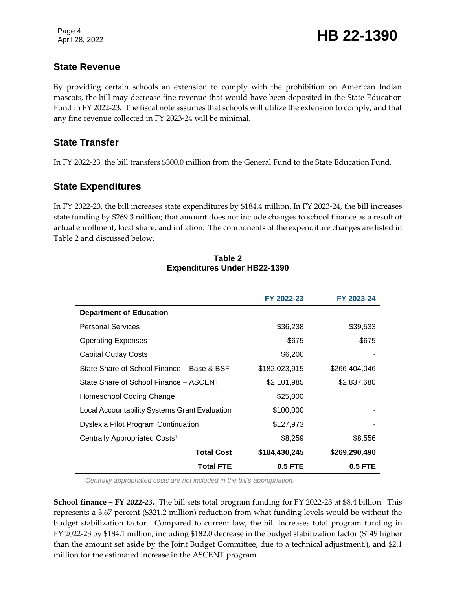#### **State Revenue**

By providing certain schools an extension to comply with the prohibition on American Indian mascots, the bill may decrease fine revenue that would have been deposited in the State Education Fund in FY 2022-23. The fiscal note assumes that schools will utilize the extension to comply, and that any fine revenue collected in FY 2023-24 will be minimal.

#### **State Transfer**

In FY 2022-23, the bill transfers \$300.0 million from the General Fund to the State Education Fund.

#### **State Expenditures**

In FY 2022-23, the bill increases state expenditures by \$184.4 million. In FY 2023-24, the bill increases state funding by \$269.3 million; that amount does not include changes to school finance as a result of actual enrollment, local share, and inflation. The components of the expenditure changes are listed in Table 2 and discussed below.

|                                               | FY 2022-23    | FY 2023-24    |
|-----------------------------------------------|---------------|---------------|
| <b>Department of Education</b>                |               |               |
| <b>Personal Services</b>                      | \$36,238      | \$39,533      |
| <b>Operating Expenses</b>                     | \$675         | \$675         |
| <b>Capital Outlay Costs</b>                   | \$6,200       |               |
| State Share of School Finance – Base & BSF    | \$182,023,915 | \$266,404,046 |
| State Share of School Finance – ASCENT        | \$2,101,985   | \$2,837,680   |
| Homeschool Coding Change                      | \$25,000      |               |
| Local Accountability Systems Grant Evaluation | \$100,000     |               |
| Dyslexia Pilot Program Continuation           | \$127,973     |               |
| Centrally Appropriated Costs <sup>1</sup>     | \$8,259       | \$8,556       |
| <b>Total Cost</b>                             | \$184,430,245 | \$269,290,490 |
| <b>Total FTE</b>                              | $0.5$ FTE     | $0.5$ FTE     |

**Table 2 Expenditures Under HB22-1390**

<sup>1</sup> *Centrally appropriated costs are not included in the bill's appropriation.*

**School finance – FY 2022-23.** The bill sets total program funding for FY 2022-23 at \$8.4 billion. This represents a 3.67 percent (\$321.2 million) reduction from what funding levels would be without the budget stabilization factor. Compared to current law, the bill increases total program funding in FY 2022-23 by \$184.1 million, including \$182.0 decrease in the budget stabilization factor (\$149 higher than the amount set aside by the Joint Budget Committee, due to a technical adjustment.), and \$2.1 million for the estimated increase in the ASCENT program.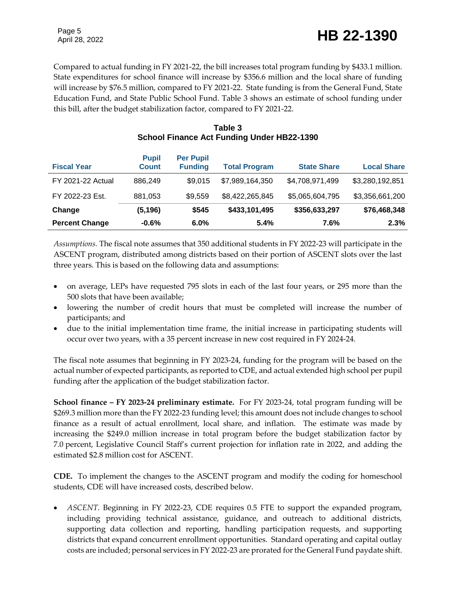Compared to actual funding in FY 2021-22, the bill increases total program funding by \$433.1 million. State expenditures for school finance will increase by \$356.6 million and the local share of funding will increase by \$76.5 million, compared to FY 2021-22. State funding is from the General Fund, State Education Fund, and State Public School Fund. Table 3 shows an estimate of school funding under this bill, after the budget stabilization factor, compared to FY 2021-22.

| <b>Fiscal Year</b>       | <b>Pupil</b><br><b>Count</b> | <b>Per Pupil</b><br><b>Funding</b> | <b>Total Program</b> | <b>State Share</b> | <b>Local Share</b> |
|--------------------------|------------------------------|------------------------------------|----------------------|--------------------|--------------------|
| <b>FY 2021-22 Actual</b> | 886,249                      | \$9,015                            | \$7,989,164,350      | \$4,708,971,499    | \$3,280,192,851    |
| FY 2022-23 Est.          | 881,053                      | \$9,559                            | \$8,422,265,845      | \$5,065,604,795    | \$3,356,661,200    |
| Change                   | (5, 196)                     | \$545                              | \$433,101,495        | \$356,633,297      | \$76,468,348       |
| <b>Percent Change</b>    | $-0.6%$                      | 6.0%                               | 5.4%                 | 7.6%               | 2.3%               |

#### **Table 3 School Finance Act Funding Under HB22-1390**

*Assumptions.* The fiscal note assumes that 350 additional students in FY 2022-23 will participate in the ASCENT program, distributed among districts based on their portion of ASCENT slots over the last three years. This is based on the following data and assumptions:

- on average, LEPs have requested 795 slots in each of the last four years, or 295 more than the 500 slots that have been available;
- lowering the number of credit hours that must be completed will increase the number of participants; and
- due to the initial implementation time frame, the initial increase in participating students will occur over two years, with a 35 percent increase in new cost required in FY 2024-24.

The fiscal note assumes that beginning in FY 2023-24, funding for the program will be based on the actual number of expected participants, as reported to CDE, and actual extended high school per pupil funding after the application of the budget stabilization factor.

**School finance – FY 2023-24 preliminary estimate.** For FY 2023-24, total program funding will be \$269.3 million more than the FY 2022-23 funding level; this amount does not include changes to school finance as a result of actual enrollment, local share, and inflation. The estimate was made by increasing the \$249.0 million increase in total program before the budget stabilization factor by 7.0 percent, Legislative Council Staff's current projection for inflation rate in 2022, and adding the estimated \$2.8 million cost for ASCENT.

**CDE.** To implement the changes to the ASCENT program and modify the coding for homeschool students, CDE will have increased costs, described below.

 *ASCENT.* Beginning in FY 2022-23, CDE requires 0.5 FTE to support the expanded program, including providing technical assistance, guidance, and outreach to additional districts, supporting data collection and reporting, handling participation requests, and supporting districts that expand concurrent enrollment opportunities. Standard operating and capital outlay costs are included; personal services in FY 2022-23 are prorated for the General Fund paydate shift.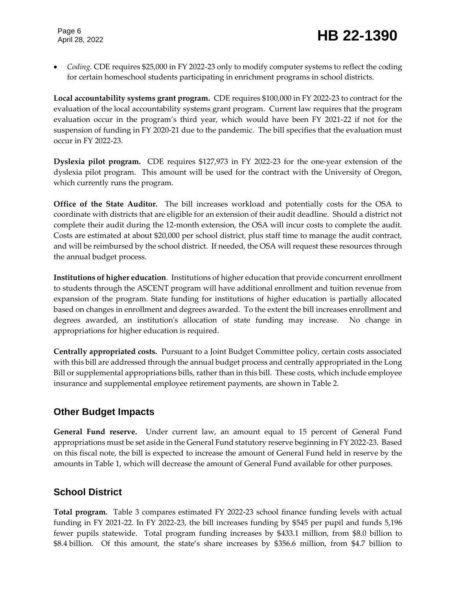*Coding.* CDE requires \$25,000 in FY 2022-23 only to modify computer systems to reflect the coding for certain homeschool students participating in enrichment programs in school districts.

**Local accountability systems grant program.** CDE requires \$100,000 in FY 2022-23 to contract for the evaluation of the local accountability systems grant program. Current law requires that the program evaluation occur in the program's third year, which would have been FY 2021-22 if not for the suspension of funding in FY 2020-21 due to the pandemic. The bill specifies that the evaluation must occur in FY 2022-23.

**Dyslexia pilot program.** CDE requires \$127,973 in FY 2022-23 for the one-year extension of the dyslexia pilot program. This amount will be used for the contract with the University of Oregon, which currently runs the program.

**Office of the State Auditor.** The bill increases workload and potentially costs for the OSA to coordinate with districts that are eligible for an extension of their audit deadline. Should a district not complete their audit during the 12-month extension, the OSA will incur costs to complete the audit. Costs are estimated at about \$20,000 per school district, plus staff time to manage the audit contract, and will be reimbursed by the school district. If needed, the OSA will request these resources through the annual budget process.

**Institutions of higher education***.*Institutions of higher education that provide concurrent enrollment to students through the ASCENT program will have additional enrollment and tuition revenue from expansion of the program. State funding for institutions of higher education is partially allocated based on changes in enrollment and degrees awarded. To the extent the bill increases enrollment and degrees awarded, an institution's allocation of state funding may increase. No change in appropriations for higher education is required.

**Centrally appropriated costs.** Pursuant to a Joint Budget Committee policy, certain costs associated with this bill are addressed through the annual budget process and centrally appropriated in the Long Bill or supplemental appropriations bills, rather than in this bill. These costs, which include employee insurance and supplemental employee retirement payments, are shown in Table 2.

#### **Other Budget Impacts**

**General Fund reserve.** Under current law, an amount equal to 15 percent of General Fund appropriations must be set aside in the General Fund statutory reserve beginning in FY 2022-23. Based on this fiscal note, the bill is expected to increase the amount of General Fund held in reserve by the amounts in Table 1, which will decrease the amount of General Fund available for other purposes.

#### **School District**

**Total program.** Table 3 compares estimated FY 2022-23 school finance funding levels with actual funding in FY 2021-22. In FY 2022-23, the bill increases funding by \$545 per pupil and funds 5,196 fewer pupils statewide. Total program funding increases by \$433.1 million, from \$8.0 billion to \$8.4 billion. Of this amount, the state's share increases by \$356.6 million, from \$4.7 billion to